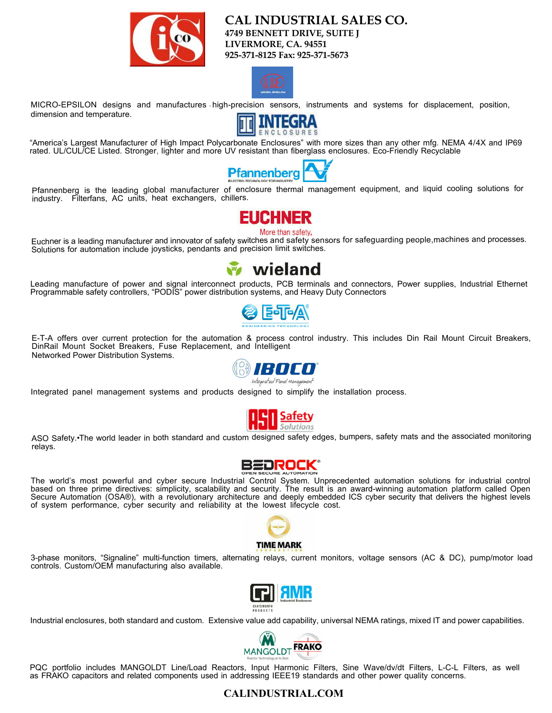

**CAL INDUSTRIAL SALES CO. 4749 BENNETT DRIVE, SUITE J LIVERMORE, CA. 94551 925-371-8125 Fax: 925-371-5673**



MICRO-EPSILON designs and manufactures high-precision sensors, instruments and systems for displacement, position, dimension and temperature.



"America's Largest Manufacturer of High Impact Polycarbonate Enclosures" with more sizes than any other mfg. NEMA 4/4X and IP69 rated. UL/CUL/CE Listed. Stronger, lighter and more UV resistant than fiberglass enclosures. Eco-Friendly Recyclable



Pfannenberg is the leading global manufacturer of enclosure thermal management equipment, and liquid cooling solutions for industry. Filterfans, AC units, heat exchangers, chillers.

More than safety.

Euchner is a leading manufacturer and innovator of safety switches and safety sensors for safeguarding people,machines and processes. Solutions for automation include joysticks, pendants and precision limit switches.



Leading manufacture of power and signal interconnect products, PCB terminals and connectors, Power supplies, Industrial Ethernet Programmable safety controllers, "PODIS" power distribution systems, and Heavy Duty Connectors



E-T-A offers over current protection for the automation & process control industry. This includes Din Rail Mount Circuit Breakers, DinRail Mount Socket Breakers, Fuse Replacement, and Intelligent Networked Power Distribution Systems.



Integrated panel management systems and products designed to simplify the installation process.



ASO Safety.•The world leader in both standard and custom designed safety edges, bumpers, safety mats and the associated monitoring relays.



The world's most powerful and cyber secure Industrial Control System. Unprecedented automation solutions for industrial control based on three prime directives: simplicity, scalability and security. The result is an award-winning automation platform called Open Secure Automation (OSA®), with a revolutionary architecture and deeply embedded ICS cyber security that delivers the highest levels of system performance, cyber security and reliability at the lowest lifecycle cost.



3-phase monitors, "Signaline" multi-function timers, alternating relays, current monitors, voltage sensors (AC & DC), pump/motor load controls. Custom/OEM manufacturing also available.



Industrial enclosures, both standard and custom. Extensive value add capability, universal NEMA ratings, mixed IT and power capabilities.



PQC portfolio includes MANGOLDT Line/Load Reactors, Input Harmonic Filters, Sine Wave/dv/dt Filters, L-C-L Filters, as well as FRAKO capacitors and related components used in addressing IEEE19 standards and other power quality concerns.

## **CALINDUSTRIAL.COM**